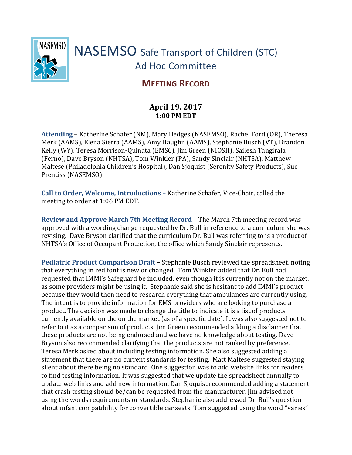

## **MEETING RECORD**

## **April 19, 2017 1:00 PM EDT**

**Attending** – Katherine Schafer (NM), Mary Hedges (NASEMSO), Rachel Ford (OR), Theresa Merk (AAMS), Elena Sierra (AAMS), Amy Haughn (AAMS), Stephanie Busch (VT), Brandon Kelly (WY), Teresa Morrison-Quinata (EMSC), Jim Green (NIOSH), Sailesh Tangirala (Ferno), Dave Bryson (NHTSA), Tom Winkler (PA), Sandy Sinclair (NHTSA), Matthew Maltese (Philadelphia Children's Hospital), Dan Sjoquist (Serenity Safety Products), Sue Prentiss (NASEMSO)

**Call to Order, Welcome, Introductions** – Katherine Schafer, Vice-Chair, called the meeting to order at 1:06 PM EDT.

**Review and Approve March 7th Meeting Record** – The March 7th meeting record was approved with a wording change requested by Dr. Bull in reference to a curriculum she was revising. Dave Bryson clarified that the curriculum Dr. Bull was referring to is a product of NHTSA's Office of Occupant Protection, the office which Sandy Sinclair represents.

**Pediatric Product Comparison Draft –** Stephanie Busch reviewed the spreadsheet, noting that everything in red font is new or changed. Tom Winkler added that Dr. Bull had requested that IMMI's Safeguard be included, even though it is currently not on the market, as some providers might be using it. Stephanie said she is hesitant to add IMMI's product because they would then need to research everything that ambulances are currently using. The intent is to provide information for EMS providers who are looking to purchase a product. The decision was made to change the title to indicate it is a list of products currently available on the on the market (as of a specific date). It was also suggested not to refer to it as a comparison of products. Jim Green recommended adding a disclaimer that these products are not being endorsed and we have no knowledge about testing. Dave Bryson also recommended clarifying that the products are not ranked by preference. Teresa Merk asked about including testing information. She also suggested adding a statement that there are no current standards for testing. Matt Maltese suggested staying silent about there being no standard. One suggestion was to add website links for readers to find testing information. It was suggested that we update the spreadsheet annually to update web links and add new information. Dan Sjoquist recommended adding a statement that crash testing should be/can be requested from the manufacturer. Jim advised not using the words requirements or standards. Stephanie also addressed Dr. Bull's question about infant compatibility for convertible car seats. Tom suggested using the word "varies"